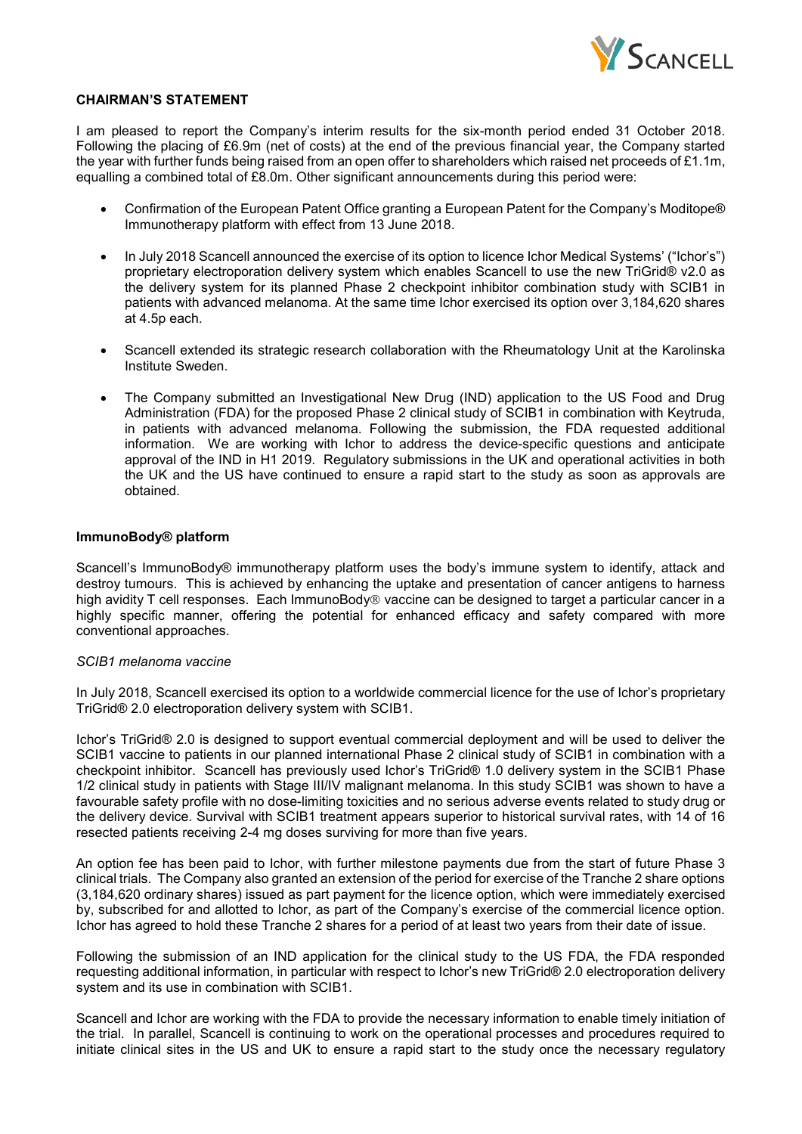

#### **CHAIRMAN'S STATEMENT**

I am pleased to report the Company's interim results for the six-month period ended 31 October 2018. Following the placing of £6.9m (net of costs) at the end of the previous financial year, the Company started the year with further funds being raised from an open offer to shareholders which raised net proceeds of £1.1m, equalling a combined total of £8.0m. Other significant announcements during this period were:

- Confirmation of the European Patent Office granting a European Patent for the Company's Moditope® Immunotherapy platform with effect from 13 June 2018.
- In July 2018 Scancell announced the exercise of its option to licence Ichor Medical Systems' ("Ichor's") proprietary electroporation delivery system which enables Scancell to use the new TriGrid® v2.0 as the delivery system for its planned Phase 2 checkpoint inhibitor combination study with SCIB1 in patients with advanced melanoma. At the same time Ichor exercised its option over 3,184,620 shares at 4.5p each.
- Scancell extended its strategic research collaboration with the Rheumatology Unit at the Karolinska Institute Sweden.
- The Company submitted an Investigational New Drug (IND) application to the US Food and Drug Administration (FDA) for the proposed Phase 2 clinical study of SCIB1 in combination with Keytruda, in patients with advanced melanoma. Following the submission, the FDA requested additional information. We are working with Ichor to address the device-specific questions and anticipate approval of the IND in H1 2019. Regulatory submissions in the UK and operational activities in both the UK and the US have continued to ensure a rapid start to the study as soon as approvals are obtained.

#### **ImmunoBody® platform**

Scancell's ImmunoBody® immunotherapy platform uses the body's immune system to identify, attack and destroy tumours. This is achieved by enhancing the uptake and presentation of cancer antigens to harness high avidity T cell responses. Each ImmunoBody<sup>®</sup> vaccine can be designed to target a particular cancer in a highly specific manner, offering the potential for enhanced efficacy and safety compared with more conventional approaches.

#### *SCIB1 melanoma vaccine*

In July 2018, Scancell exercised its option to a worldwide commercial licence for the use of Ichor's proprietary TriGrid® 2.0 electroporation delivery system with SCIB1.

Ichor's TriGrid® 2.0 is designed to support eventual commercial deployment and will be used to deliver the SCIB1 vaccine to patients in our planned international Phase 2 clinical study of SCIB1 in combination with a checkpoint inhibitor. Scancell has previously used Ichor's TriGrid® 1.0 delivery system in the SCIB1 Phase 1/2 clinical study in patients with Stage III/IV malignant melanoma. In this study SCIB1 was shown to have a favourable safety profile with no dose-limiting toxicities and no serious adverse events related to study drug or the delivery device. Survival with SCIB1 treatment appears superior to historical survival rates, with 14 of 16 resected patients receiving 2-4 mg doses surviving for more than five years.

An option fee has been paid to Ichor, with further milestone payments due from the start of future Phase 3 clinical trials. The Company also granted an extension of the period for exercise of the Tranche 2 share options (3,184,620 ordinary shares) issued as part payment for the licence option, which were immediately exercised by, subscribed for and allotted to Ichor, as part of the Company's exercise of the commercial licence option. Ichor has agreed to hold these Tranche 2 shares for a period of at least two years from their date of issue.

Following the submission of an IND application for the clinical study to the US FDA, the FDA responded requesting additional information, in particular with respect to Ichor's new TriGrid® 2.0 electroporation delivery system and its use in combination with SCIB1.

Scancell and Ichor are working with the FDA to provide the necessary information to enable timely initiation of the trial. In parallel, Scancell is continuing to work on the operational processes and procedures required to initiate clinical sites in the US and UK to ensure a rapid start to the study once the necessary regulatory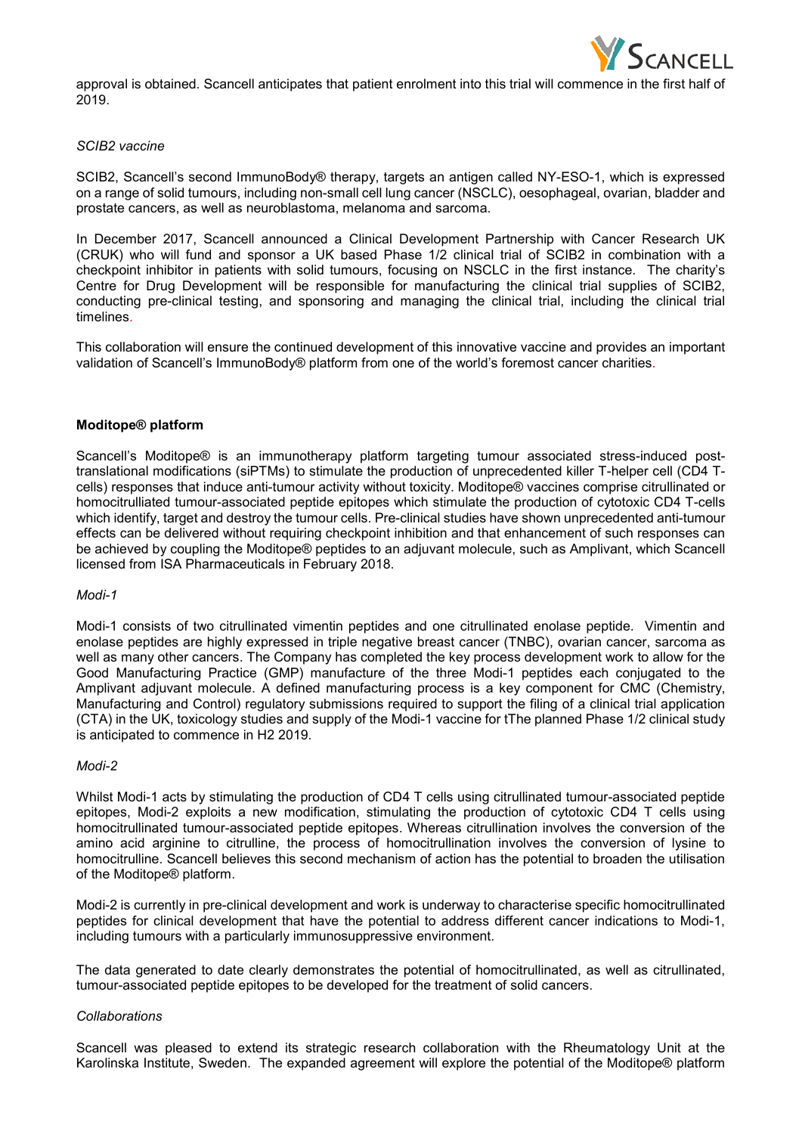

approval is obtained. Scancell anticipates that patient enrolment into this trial will commence in the first half of 2019.

#### *SCIB2 vaccine*

SCIB2, Scancell's second ImmunoBody® therapy, targets an antigen called NY-ESO-1, which is expressed on a range of solid tumours, including non-small cell lung cancer (NSCLC), oesophageal, ovarian, bladder and prostate cancers, as well as neuroblastoma, melanoma and sarcoma.

In December 2017, Scancell announced a Clinical Development Partnership with Cancer Research UK (CRUK) who will fund and sponsor a UK based Phase 1/2 clinical trial of SCIB2 in combination with a checkpoint inhibitor in patients with solid tumours, focusing on NSCLC in the first instance. The charity's Centre for Drug Development will be responsible for manufacturing the clinical trial supplies of SCIB2, conducting pre-clinical testing, and sponsoring and managing the clinical trial, including the clinical trial timelines.

This collaboration will ensure the continued development of this innovative vaccine and provides an important validation of Scancell's ImmunoBody® platform from one of the world's foremost cancer charities.

#### **Moditope® platform**

Scancell's Moditope® is an immunotherapy platform targeting tumour associated stress-induced posttranslational modifications (siPTMs) to stimulate the production of unprecedented killer T-helper cell (CD4 Tcells) responses that induce anti-tumour activity without toxicity. Moditope® vaccines comprise citrullinated or homocitrulliated tumour-associated peptide epitopes which stimulate the production of cytotoxic CD4 T-cells which identify, target and destroy the tumour cells. Pre-clinical studies have shown unprecedented anti-tumour effects can be delivered without requiring checkpoint inhibition and that enhancement of such responses can be achieved by coupling the Moditope® peptides to an adjuvant molecule, such as Amplivant, which Scancell licensed from ISA Pharmaceuticals in February 2018.

#### *Modi-1*

Modi-1 consists of two citrullinated vimentin peptides and one citrullinated enolase peptide. Vimentin and enolase peptides are highly expressed in triple negative breast cancer (TNBC), ovarian cancer, sarcoma as well as many other cancers. The Company has completed the key process development work to allow for the Good Manufacturing Practice (GMP) manufacture of the three Modi-1 peptides each conjugated to the Amplivant adjuvant molecule. A defined manufacturing process is a key component for CMC (Chemistry, Manufacturing and Control) regulatory submissions required to support the filing of a clinical trial application (CTA) in the UK, toxicology studies and supply of the Modi-1 vaccine for tThe planned Phase 1/2 clinical study is anticipated to commence in H2 2019.

#### *Modi-2*

Whilst Modi-1 acts by stimulating the production of CD4 T cells using citrullinated tumour-associated peptide epitopes, Modi-2 exploits a new modification, stimulating the production of cytotoxic CD4 T cells using homocitrullinated tumour-associated peptide epitopes. Whereas citrullination involves the conversion of the amino acid arginine to citrulline, the process of homocitrullination involves the conversion of lysine to homocitrulline. Scancell believes this second mechanism of action has the potential to broaden the utilisation of the Moditope® platform.

Modi-2 is currently in pre-clinical development and work is underway to characterise specific homocitrullinated peptides for clinical development that have the potential to address different cancer indications to Modi-1, including tumours with a particularly immunosuppressive environment.

The data generated to date clearly demonstrates the potential of homocitrullinated, as well as citrullinated, tumour-associated peptide epitopes to be developed for the treatment of solid cancers.

#### *Collaborations*

Scancell was pleased to extend its strategic research collaboration with the Rheumatology Unit at the Karolinska Institute, Sweden. The expanded agreement will explore the potential of the Moditope® platform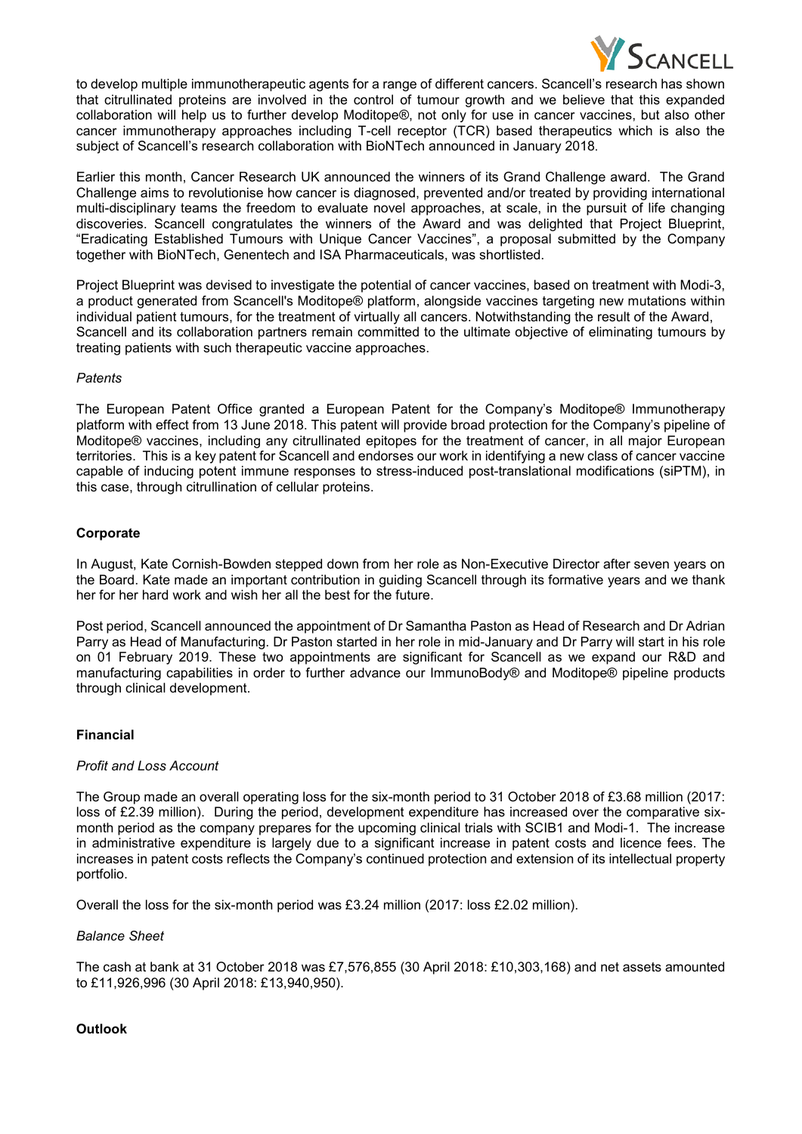

to develop multiple immunotherapeutic agents for a range of different cancers. Scancell's research has shown that citrullinated proteins are involved in the control of tumour growth and we believe that this expanded collaboration will help us to further develop Moditope®, not only for use in cancer vaccines, but also other cancer immunotherapy approaches including T-cell receptor (TCR) based therapeutics which is also the subject of Scancell's research collaboration with BioNTech announced in January 2018.

Earlier this month, Cancer Research UK announced the winners of its Grand Challenge award. The Grand Challenge aims to revolutionise how cancer is diagnosed, prevented and/or treated by providing international multi-disciplinary teams the freedom to evaluate novel approaches, at scale, in the pursuit of life changing discoveries. Scancell congratulates the winners of the Award and was delighted that Project Blueprint, "Eradicating Established Tumours with Unique Cancer Vaccines", a proposal submitted by the Company together with BioNTech, Genentech and ISA Pharmaceuticals, was shortlisted.

Project Blueprint was devised to investigate the potential of cancer vaccines, based on treatment with Modi-3, a product generated from Scancell's Moditope® platform, alongside vaccines targeting new mutations within individual patient tumours, for the treatment of virtually all cancers. Notwithstanding the result of the Award, Scancell and its collaboration partners remain committed to the ultimate objective of eliminating tumours by treating patients with such therapeutic vaccine approaches.

## *Patents*

The European Patent Office granted a European Patent for the Company's Moditope® Immunotherapy platform with effect from 13 June 2018. This patent will provide broad protection for the Company's pipeline of Moditope® vaccines, including any citrullinated epitopes for the treatment of cancer, in all major European territories. This is a key patent for Scancell and endorses our work in identifying a new class of cancer vaccine capable of inducing potent immune responses to stress-induced post-translational modifications (siPTM), in this case, through citrullination of cellular proteins.

## **Corporate**

In August, Kate Cornish-Bowden stepped down from her role as Non-Executive Director after seven years on the Board. Kate made an important contribution in guiding Scancell through its formative years and we thank her for her hard work and wish her all the best for the future.

Post period, Scancell announced the appointment of Dr Samantha Paston as Head of Research and Dr Adrian Parry as Head of Manufacturing. Dr Paston started in her role in mid-January and Dr Parry will start in his role on 01 February 2019. These two appointments are significant for Scancell as we expand our R&D and manufacturing capabilities in order to further advance our ImmunoBody® and Moditope® pipeline products through clinical development.

## **Financial**

#### *Profit and Loss Account*

The Group made an overall operating loss for the six-month period to 31 October 2018 of £3.68 million (2017: loss of £2.39 million). During the period, development expenditure has increased over the comparative sixmonth period as the company prepares for the upcoming clinical trials with SCIB1 and Modi-1. The increase in administrative expenditure is largely due to a significant increase in patent costs and licence fees. The increases in patent costs reflects the Company's continued protection and extension of its intellectual property portfolio.

Overall the loss for the six-month period was £3.24 million (2017: loss £2.02 million).

#### *Balance Sheet*

The cash at bank at 31 October 2018 was £7,576,855 (30 April 2018: £10,303,168) and net assets amounted to £11,926,996 (30 April 2018: £13,940,950).

#### **Outlook**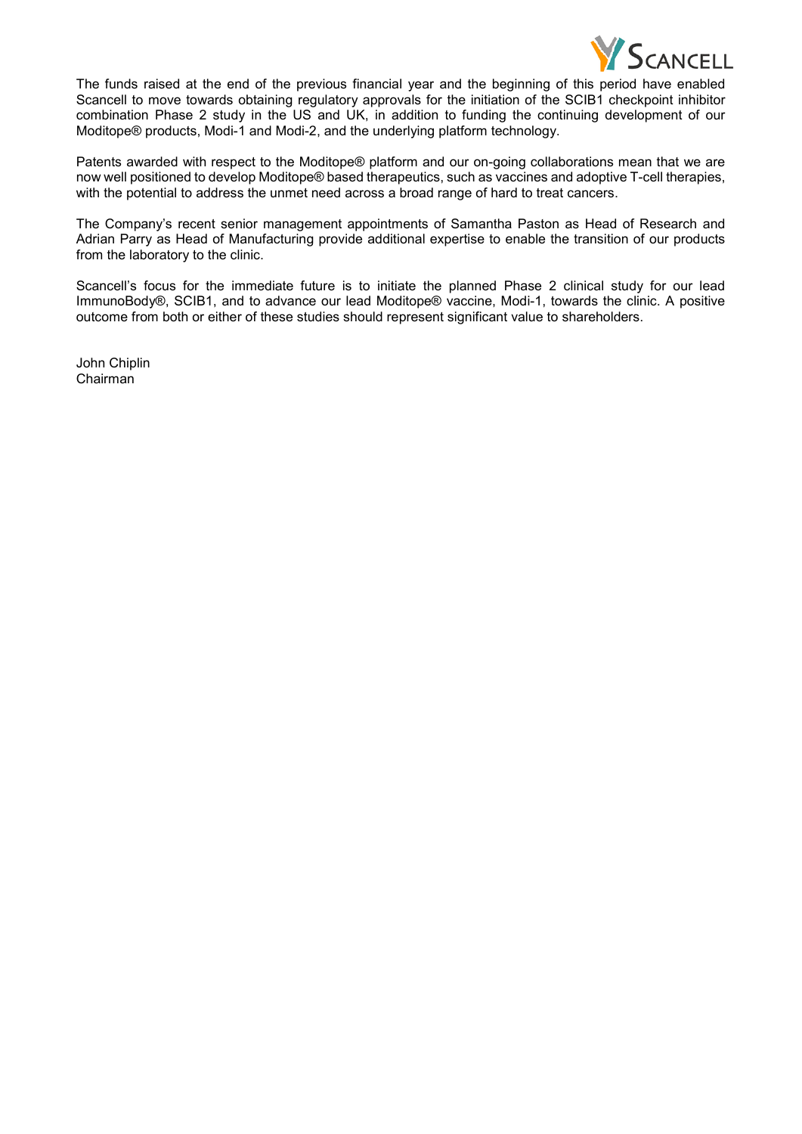

The funds raised at the end of the previous financial year and the beginning of this period have enabled Scancell to move towards obtaining regulatory approvals for the initiation of the SCIB1 checkpoint inhibitor combination Phase 2 study in the US and UK, in addition to funding the continuing development of our Moditope® products, Modi-1 and Modi-2, and the underlying platform technology.

Patents awarded with respect to the Moditope® platform and our on-going collaborations mean that we are now well positioned to develop Moditope® based therapeutics, such as vaccines and adoptive T-cell therapies, with the potential to address the unmet need across a broad range of hard to treat cancers.

The Company's recent senior management appointments of Samantha Paston as Head of Research and Adrian Parry as Head of Manufacturing provide additional expertise to enable the transition of our products from the laboratory to the clinic.

Scancell's focus for the immediate future is to initiate the planned Phase 2 clinical study for our lead ImmunoBody®, SCIB1, and to advance our lead Moditope® vaccine, Modi-1, towards the clinic. A positive outcome from both or either of these studies should represent significant value to shareholders.

John Chiplin Chairman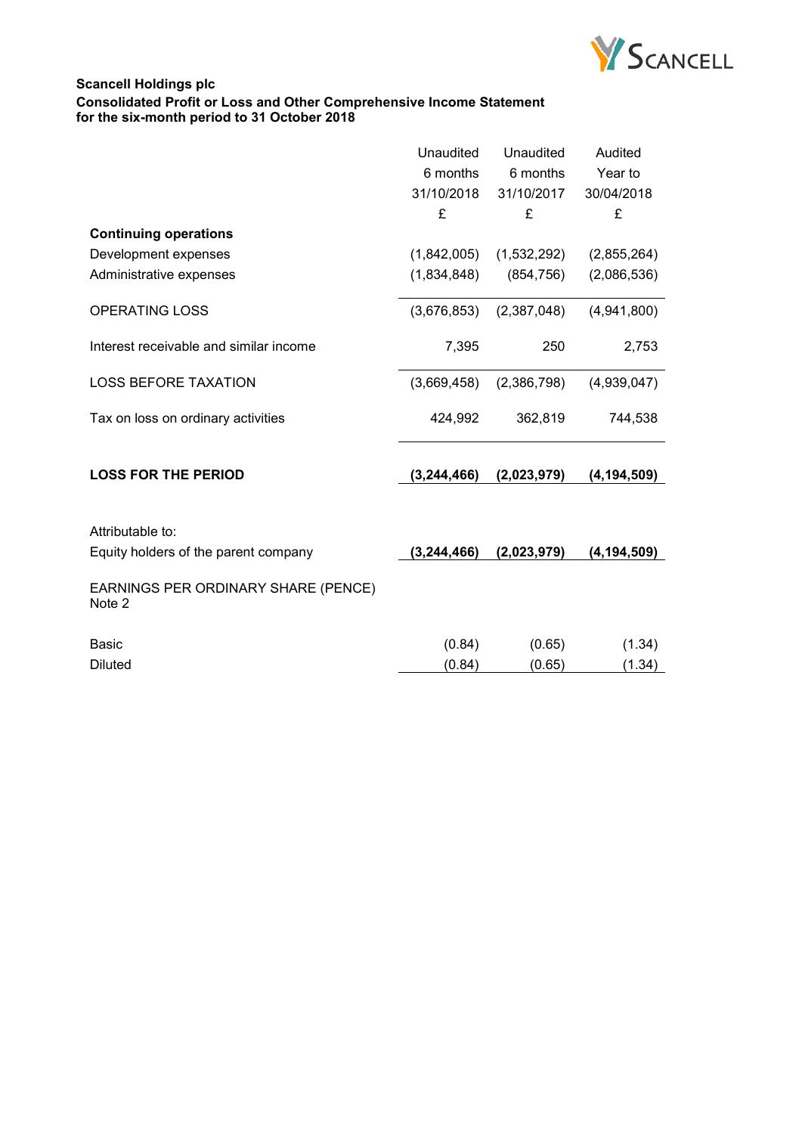

# **Scancell Holdings plc Consolidated Profit or Loss and Other Comprehensive Income Statement for the six-month period to 31 October 2018**

|                                               | Unaudited     | Unaudited   | Audited       |
|-----------------------------------------------|---------------|-------------|---------------|
|                                               | 6 months      | 6 months    | Year to       |
|                                               | 31/10/2018    | 31/10/2017  | 30/04/2018    |
|                                               | £             | £           | £             |
| <b>Continuing operations</b>                  |               |             |               |
| Development expenses                          | (1,842,005)   | (1,532,292) | (2,855,264)   |
| Administrative expenses                       | (1,834,848)   | (854, 756)  | (2,086,536)   |
| <b>OPERATING LOSS</b>                         | (3,676,853)   | (2,387,048) | (4,941,800)   |
| Interest receivable and similar income        | 7,395         | 250         | 2,753         |
| <b>LOSS BEFORE TAXATION</b>                   | (3,669,458)   | (2,386,798) | (4,939,047)   |
| Tax on loss on ordinary activities            | 424,992       | 362,819     | 744,538       |
| <b>LOSS FOR THE PERIOD</b>                    | (3, 244, 466) | (2,023,979) | (4, 194, 509) |
|                                               |               |             |               |
| Attributable to:                              |               |             |               |
| Equity holders of the parent company          | (3, 244, 466) | (2,023,979) | (4, 194, 509) |
| EARNINGS PER ORDINARY SHARE (PENCE)<br>Note 2 |               |             |               |
| <b>Basic</b>                                  | (0.84)        | (0.65)      | (1.34)        |
| <b>Diluted</b>                                | (0.84)        | (0.65)      | (1.34)        |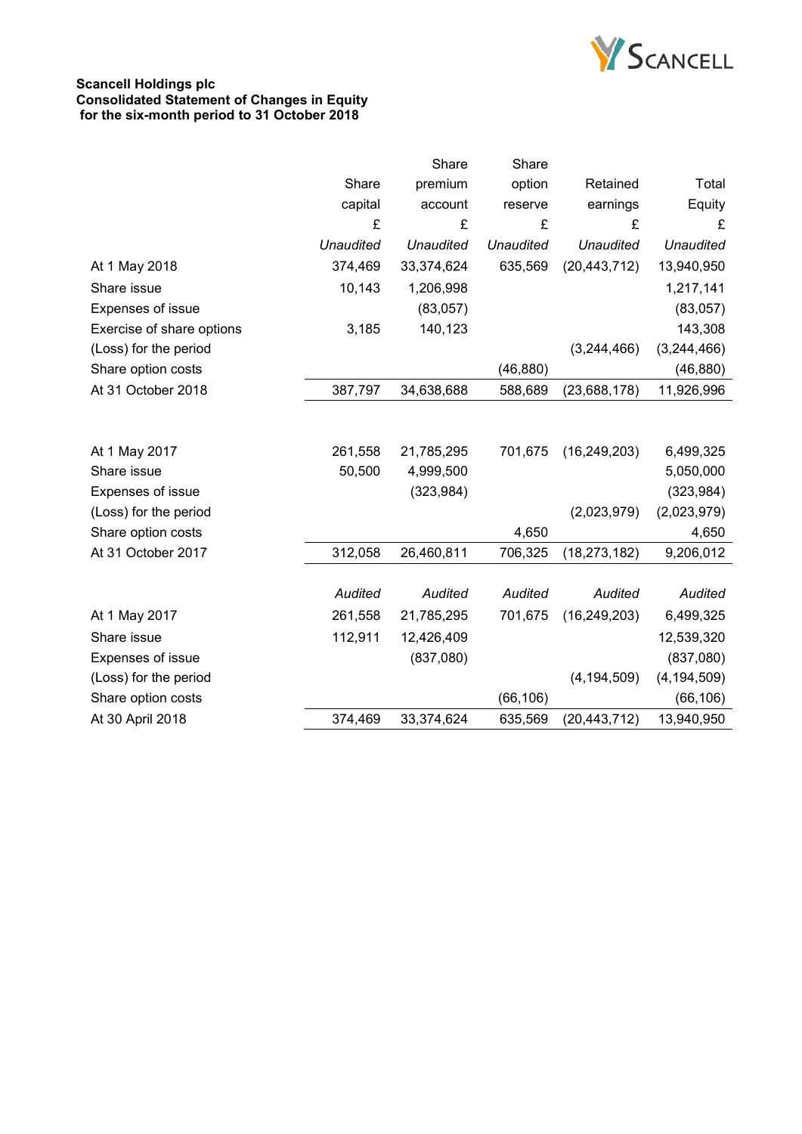

## **Scancell Holdings plc Consolidated Statement of Changes in Equity for the six-month period to 31 October 2018**

|                  | Share            | Share            |                  |                  |
|------------------|------------------|------------------|------------------|------------------|
| Share            | premium          | option           | Retained         | Total            |
| capital          | account          | reserve          | earnings         | Equity           |
| £                | £                | £                | £                | £                |
| <b>Unaudited</b> | <b>Unaudited</b> | <b>Unaudited</b> | <b>Unaudited</b> | <b>Unaudited</b> |
| 374,469          | 33,374,624       | 635,569          | (20, 443, 712)   | 13,940,950       |
| 10,143           | 1,206,998        |                  |                  | 1,217,141        |
|                  | (83,057)         |                  |                  | (83,057)         |
| 3,185            | 140,123          |                  |                  | 143,308          |
|                  |                  |                  | (3,244,466)      | (3,244,466)      |
|                  |                  | (46, 880)        |                  | (46, 880)        |
| 387,797          | 34,638,688       | 588,689          | (23, 688, 178)   | 11,926,996       |
|                  |                  |                  |                  |                  |
| 261,558          | 21,785,295       | 701,675          |                  | 6,499,325        |
| 50,500           | 4,999,500        |                  |                  | 5,050,000        |
|                  | (323, 984)       |                  |                  | (323, 984)       |
|                  |                  |                  | (2,023,979)      | (2,023,979)      |
|                  |                  | 4,650            |                  | 4,650            |
| 312,058          | 26,460,811       | 706,325          | (18, 273, 182)   | 9,206,012        |
|                  |                  |                  |                  |                  |
| Audited          | Audited          | Audited          | Audited          | Audited          |
| 261,558          | 21,785,295       | 701,675          | (16, 249, 203)   | 6,499,325        |
| 112,911          | 12,426,409       |                  |                  | 12,539,320       |
|                  | (837,080)        |                  |                  | (837,080)        |
|                  |                  |                  | (4, 194, 509)    | (4, 194, 509)    |
|                  |                  | (66, 106)        |                  | (66, 106)        |
| 374,469          | 33,374,624       | 635,569          | (20, 443, 712)   | 13,940,950       |
|                  |                  |                  |                  | (16, 249, 203)   |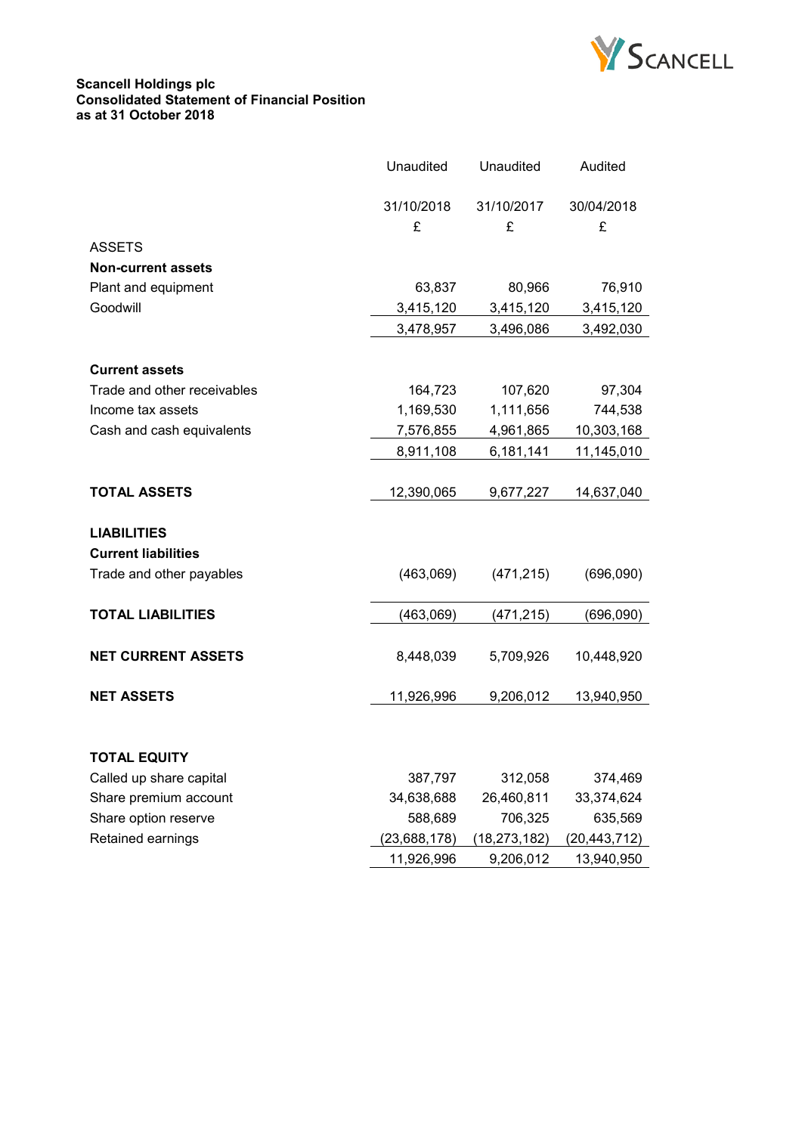

#### **Scancell Holdings plc Consolidated Statement of Financial Position as at 31 October 2018**

|                             | Unaudited    | Unaudited    | Audited      |
|-----------------------------|--------------|--------------|--------------|
|                             | 31/10/2018   | 31/10/2017   | 30/04/2018   |
|                             | £            | £            | £            |
| <b>ASSETS</b>               |              |              |              |
| <b>Non-current assets</b>   |              |              |              |
| Plant and equipment         | 63,837       | 80,966       | 76,910       |
| Goodwill                    | 3,415,120    | 3,415,120    | 3,415,120    |
|                             | 3,478,957    | 3,496,086    | 3,492,030    |
|                             |              |              |              |
| <b>Current assets</b>       |              |              |              |
| Trade and other receivables | 164,723      | 107,620      | 97,304       |
| Income tax assets           | 1,169,530    | 1,111,656    | 744,538      |
| Cash and cash equivalents   | 7,576,855    | 4,961,865    | 10,303,168   |
|                             | 8,911,108    | 6,181,141    | 11,145,010   |
|                             |              |              |              |
| <b>TOTAL ASSETS</b>         | 12,390,065   | 9,677,227    | 14,637,040   |
|                             |              |              |              |
| <b>LIABILITIES</b>          |              |              |              |
| <b>Current liabilities</b>  |              |              |              |
| Trade and other payables    | (463,069)    | (471, 215)   | (696,090)    |
|                             |              |              |              |
| <b>TOTAL LIABILITIES</b>    | (463,069)    | (471, 215)   | (696,090)    |
|                             |              |              |              |
| <b>NET CURRENT ASSETS</b>   | 8,448,039    | 5,709,926    | 10,448,920   |
|                             |              |              |              |
| <b>NET ASSETS</b>           | 11,926,996   | 9,206,012    | 13,940,950   |
|                             |              |              |              |
|                             |              |              |              |
| <b>TOTAL EQUITY</b>         |              |              |              |
| Called up share capital     | 387,797      | 312,058      | 374,469      |
| Share premium account       | 34,638,688   | 26,460,811   | 33,374,624   |
| Share option reserve        | 588,689      | 706,325      | 635,569      |
| Retained earnings           | (23,688,178) | (18,273,182) | (20,443,712) |
|                             | 11,926,996   | 9,206,012    | 13,940,950   |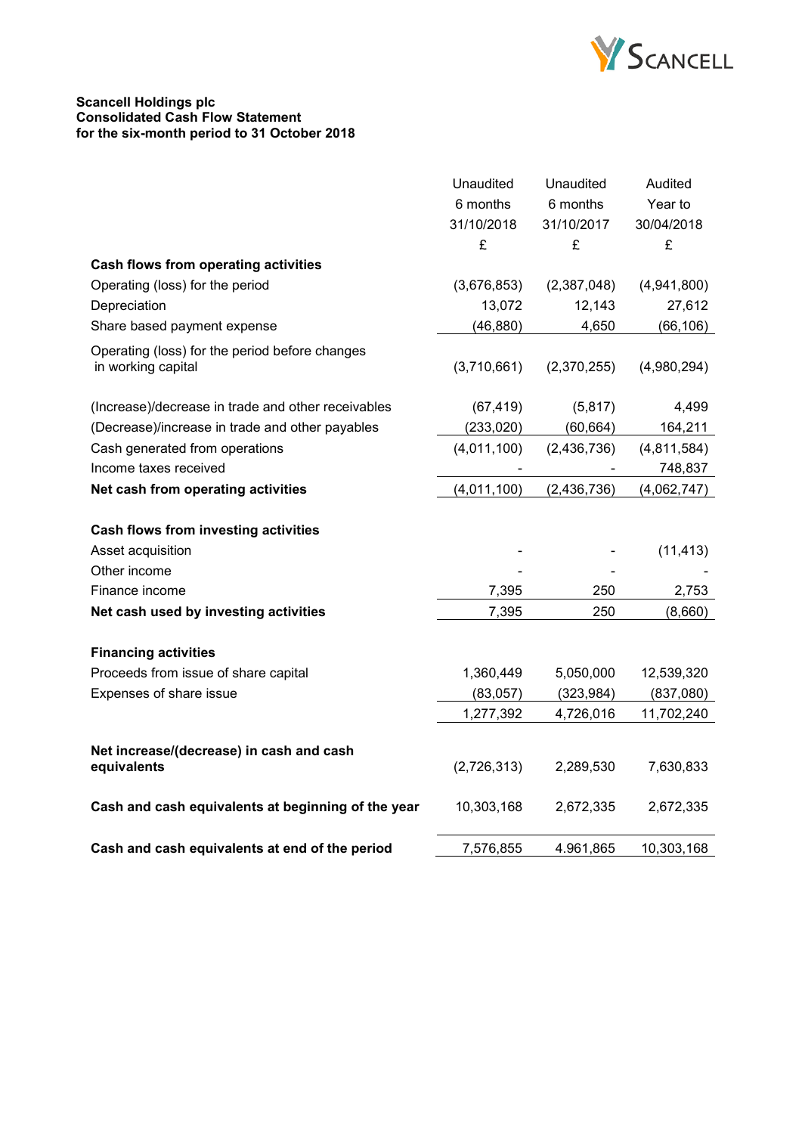

#### **Scancell Holdings plc Consolidated Cash Flow Statement for the six-month period to 31 October 2018**

|                                                         | Unaudited   | Unaudited   | Audited     |
|---------------------------------------------------------|-------------|-------------|-------------|
|                                                         | 6 months    | 6 months    | Year to     |
|                                                         | 31/10/2018  | 31/10/2017  | 30/04/2018  |
|                                                         | £           | £           | £           |
| Cash flows from operating activities                    |             |             |             |
| Operating (loss) for the period                         | (3,676,853) | (2,387,048) | (4,941,800) |
| Depreciation                                            | 13,072      | 12,143      | 27,612      |
| Share based payment expense                             | (46, 880)   | 4,650       | (66, 106)   |
| Operating (loss) for the period before changes          |             |             |             |
| in working capital                                      | (3,710,661) | (2,370,255) | (4,980,294) |
| (Increase)/decrease in trade and other receivables      | (67, 419)   | (5,817)     | 4,499       |
| (Decrease)/increase in trade and other payables         | (233, 020)  | (60, 664)   | 164,211     |
| Cash generated from operations                          | (4,011,100) | (2,436,736) | (4,811,584) |
| Income taxes received                                   |             |             | 748,837     |
| Net cash from operating activities                      | (4,011,100) | (2,436,736) | (4,062,747) |
| Cash flows from investing activities                    |             |             |             |
| Asset acquisition                                       |             |             | (11, 413)   |
| Other income                                            |             |             |             |
| Finance income                                          | 7,395       | 250         | 2,753       |
| Net cash used by investing activities                   | 7,395       | 250         | (8,660)     |
| <b>Financing activities</b>                             |             |             |             |
| Proceeds from issue of share capital                    | 1,360,449   | 5,050,000   | 12,539,320  |
| Expenses of share issue                                 | (83,057)    | (323, 984)  | (837,080)   |
|                                                         | 1,277,392   | 4,726,016   | 11,702,240  |
|                                                         |             |             |             |
| Net increase/(decrease) in cash and cash<br>equivalents | (2,726,313) | 2,289,530   | 7,630,833   |
| Cash and cash equivalents at beginning of the year      | 10,303,168  | 2,672,335   | 2,672,335   |
| Cash and cash equivalents at end of the period          | 7,576,855   | 4.961,865   | 10,303,168  |